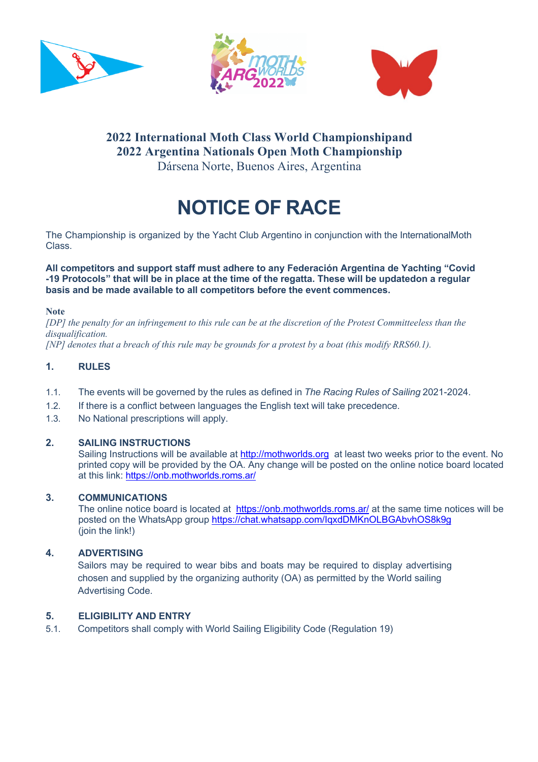





# **2022 International Moth Class World Championshipand 2022 Argentina Nationals Open Moth Championship** Dársena Norte, Buenos Aires, Argentina

# **NOTICE OF RACE**

The Championship is organized by the Yacht Club Argentino in conjunction with the InternationalMoth Class.

**All competitors and support staff must adhere to any Federación Argentina de Yachting "Covid** -19 Protocols" that will be in place at the time of the regatta. These will be updatedon a regular **basis and be made available to all competitors before the event commences.**

**Note**

*[DP] the penalty for an infringement to this rule can be at the discretion of the Protest Committeeless than the disqualification.*

*[NP] denotes that a breach of this rule may be grounds for a protest by a boat (this modify RRS60.1).*

#### **1. RULES**

- 1.1. The events will be governed by the rules as defined in *The Racing Rules of Sailing* 2021-2024.
- 1.2. If there is a conflict between languages the English text will take precedence.
- 1.3. No National prescriptions will apply.

#### **2. SAILING INSTRUCTIONS**

Sailing Instructions will be available at http://mothworlds.org at least two weeks prior to the event. No printed copy will be provided by the OA. Any change will be posted on the online notice board located at this link: https://onb.mothworlds.roms.ar/

#### **3. COMMUNICATIONS**

The online notice board is located at https://onb.mothworlds.roms.ar/ at the same time notices will be posted on the WhatsApp group https://chat.whatsapp.com/IqxdDMKnOLBGAbvhOS8k9g (join the link!)

#### **4. ADVERTISING**

Sailors may be required to wear bibs and boats may be required to display advertising chosen and supplied by the organizing authority (OA) as permitted by the World sailing Advertising Code.

#### **5. ELIGIBILITY AND ENTRY**

5.1. Competitors shall comply with World Sailing Eligibility Code (Regulation 19)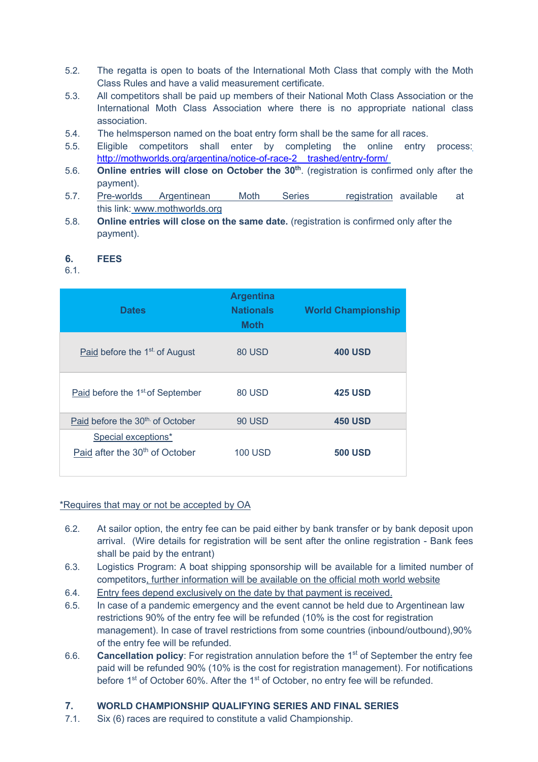- 5.2. The regatta is open to boats of the International Moth Class that comply with the Moth Class Rules and have a valid measurement certificate.
- 5.3. All competitors shall be paid up members of their National Moth Class Association or the International Moth Class Association where there is no appropriate national class association.
- 5.4. The helmsperson named on the boat entry form shall be the same for all races.
- 5.5. Eligible competitors shall enter by completing the online entry process: http://mothworlds.org/argentina/notice-of-race-2 trashed/entry-form/
- 5.6. **Online entries will close on October the 30th**. (registration is confirmed only after the payment).
- 5.7. Pre-worlds Argentinean Moth Series registration available at this link: www.mothworlds.org
- 5.8. **Online entries will close on the same date.** (registration is confirmed only after the payment).

#### **6. FEES**

6.1.

| <b>Dates</b>                                                      | <b>Argentina</b><br><b>Nationals</b><br><b>Moth</b> | <b>World Championship</b> |
|-------------------------------------------------------------------|-----------------------------------------------------|---------------------------|
| Paid before the 1 <sup>st</sup> of August                         | 80 USD                                              | <b>400 USD</b>            |
| Paid before the 1 <sup>st</sup> of September                      | 80 USD                                              | <b>425 USD</b>            |
| Paid before the 30 <sup>th</sup> of October                       | <b>90 USD</b>                                       | <b>450 USD</b>            |
| Special exceptions*<br>Paid after the 30 <sup>th</sup> of October | <b>100 USD</b>                                      | <b>500 USD</b>            |

\*Requires that may or not be accepted by OA

- 6.2. At sailor option, the entry fee can be paid either by bank transfer or by bank deposit upon arrival. (Wire details for registration will be sent after the online registration - Bank fees shall be paid by the entrant)
- 6.3. Logistics Program: A boat shipping sponsorship will be available for a limited number of competitors, further information will be available on the official moth world website
- 6.4. Entry fees depend exclusively on the date by that payment is received.
- 6.5. In case of a pandemic emergency and the event cannot be held due to Argentinean law restrictions 90% of the entry fee will be refunded (10% is the cost for registration management). In case of travel restrictions from some countries (inbound/outbound),90% of the entry fee will be refunded.
- 6.6. **Cancellation policy**: For registration annulation before the 1st of September the entry fee paid will be refunded 90% (10% is the cost for registration management). For notifications before 1<sup>st</sup> of October 60%. After the 1<sup>st</sup> of October, no entry fee will be refunded.

# **7. WORLD CHAMPIONSHIP QUALIFYING SERIES AND FINAL SERIES**

7.1. Six (6) races are required to constitute a valid Championship.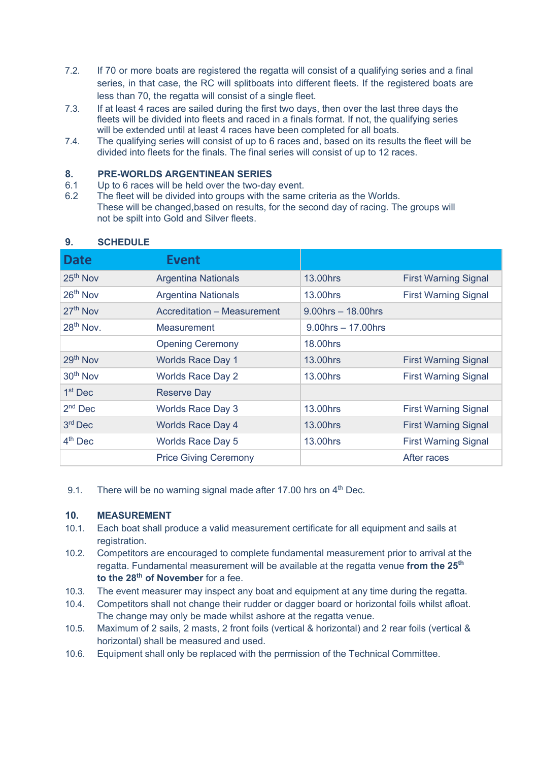- 7.2. If 70 or more boats are registered the regatta will consist of a qualifying series and a final series, in that case, the RC will splitboats into different fleets. If the registered boats are less than 70, the regatta will consist of a single fleet.
- 7.3. If at least 4 races are sailed during the first two days, then over the last three days the fleets will be divided into fleets and raced in a finals format. If not, the qualifying series will be extended until at least 4 races have been completed for all boats.
- 7.4. The qualifying series will consist of up to 6 races and, based on its results the fleet will be divided into fleets for the finals. The final series will consist of up to 12 races.

#### **8. PRE-WORLDS ARGENTINEAN SERIES**

- 6.1 Up to 6 races will be held over the two-day event.
- 6.2 The fleet will be divided into groups with the same criteria as the Worlds. These will be changed,based on results, for the second day of racing. The groups will not be spilt into Gold and Silver fleets.

| <b>Date</b>          | <b>Event</b>                 |                         |                             |
|----------------------|------------------------------|-------------------------|-----------------------------|
| $25th$ Nov           | <b>Argentina Nationals</b>   | 13.00hrs                | <b>First Warning Signal</b> |
| $26th$ Nov           | <b>Argentina Nationals</b>   | 13.00hrs                | <b>First Warning Signal</b> |
| $27th$ Nov           | Accreditation - Measurement  | $9.00$ hrs $-18.00$ hrs |                             |
| $28th$ Nov.          | Measurement                  | $9.00$ hrs $-17.00$ hrs |                             |
|                      | <b>Opening Ceremony</b>      | 18.00hrs                |                             |
| 29th Nov             | <b>Worlds Race Day 1</b>     | 13.00hrs                | <b>First Warning Signal</b> |
| 30 <sup>th</sup> Nov | <b>Worlds Race Day 2</b>     | 13.00hrs                | <b>First Warning Signal</b> |
| $1st$ Dec            | <b>Reserve Day</b>           |                         |                             |
| $2nd$ Dec            | <b>Worlds Race Day 3</b>     | 13.00hrs                | <b>First Warning Signal</b> |
| $3rd$ Dec            | <b>Worlds Race Day 4</b>     | 13.00hrs                | <b>First Warning Signal</b> |
| $4th$ Dec            | <b>Worlds Race Day 5</b>     | 13.00hrs                | <b>First Warning Signal</b> |
|                      | <b>Price Giving Ceremony</b> |                         | After races                 |

#### **9. SCHEDULE**

9.1. There will be no warning signal made after 17.00 hrs on  $4<sup>th</sup>$  Dec.

#### **10. MEASUREMENT**

- 10.1. Each boat shall produce a valid measurement certificate for all equipment and sails at registration.
- 10.2. Competitors are encouraged to complete fundamental measurement prior to arrival at the regatta. Fundamental measurement will be available at the regatta venue **from the 25th to the 28th of November** for a fee.
- 10.3. The event measurer may inspect any boat and equipment at any time during the regatta.
- 10.4. Competitors shall not change their rudder or dagger board or horizontal foils whilst afloat. The change may only be made whilst ashore at the regatta venue.
- 10.5. Maximum of 2 sails, 2 masts, 2 front foils (vertical & horizontal) and 2 rear foils (vertical & horizontal) shall be measured and used.
- 10.6. Equipment shall only be replaced with the permission of the Technical Committee.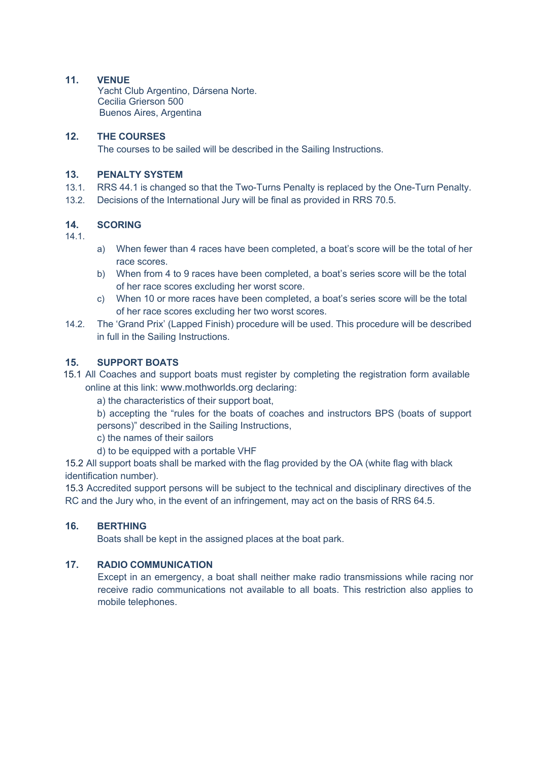# **11. VENUE**

Yacht Club Argentino, Dársena Norte. Cecilia Grierson 500 Buenos Aires, Argentina

# **12. THE COURSES**

The courses to be sailed will be described in the Sailing Instructions.

# **13. PENALTY SYSTEM**

- 13.1. RRS 44.1 is changed so that the Two-Turns Penalty is replaced by the One-Turn Penalty.
- 13.2. Decisions of the International Jury will be final as provided in RRS 70.5.

# **14. SCORING**

14.1.

- a) When fewer than 4 races have been completed, a boat's score will be the total of her race scores.
- b) When from 4 to 9 races have been completed, a boat's series score will be the total of her race scores excluding her worst score.
- c) When 10 or more races have been completed, a boat's series score will be the total of her race scores excluding her two worst scores.
- 14.2. The 'Grand Prix' (Lapped Finish) procedure will be used. This procedure will be described in full in the Sailing Instructions.

# **15. SUPPORT BOATS**

15.1 All Coaches and support boats must register by completing the registration form available online at this link: www.mothworlds.org declaring:

a) the characteristics of their support boat,

b) accepting the "rules for the boats of coaches and instructors BPS (boats of support persons)" described in the Sailing Instructions,

c) the names of their sailors

d) to be equipped with a portable VHF

15.2 All support boats shall be marked with the flag provided by the OA (white flag with black identification number).

15.3 Accredited support persons will be subject to the technical and disciplinary directives of the RC and the Jury who, in the event of an infringement, may act on the basis of RRS 64.5.

# **16. BERTHING**

Boats shall be kept in the assigned places at the boat park.

# **17. RADIO COMMUNICATION**

Except in an emergency, a boat shall neither make radio transmissions while racing nor receive radio communications not available to all boats. This restriction also applies to mobile telephones.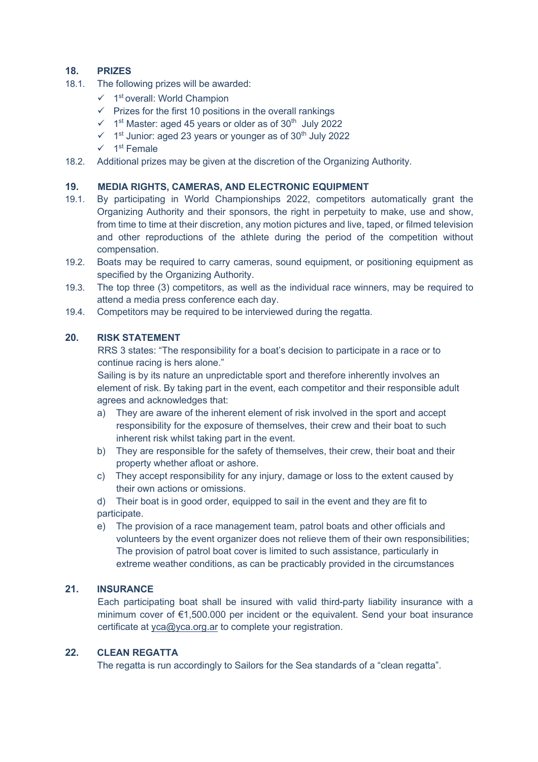# **18. PRIZES**

- 18.1. The following prizes will be awarded:
	- $\checkmark$  1<sup>st</sup> overall: World Champion
	- $\checkmark$  Prizes for the first 10 positions in the overall rankings
	- $\checkmark$  1<sup>st</sup> Master: aged 45 years or older as of 30<sup>th</sup> July 2022
	- $\checkmark$  1<sup>st</sup> Junior: aged 23 years or younger as of 30<sup>th</sup> July 2022
	- $\checkmark$  1<sup>st</sup> Female
- 18.2. Additional prizes may be given at the discretion of the Organizing Authority.

#### **19. MEDIA RIGHTS, CAMERAS, AND ELECTRONIC EQUIPMENT**

- 19.1. By participating in World Championships 2022, competitors automatically grant the Organizing Authority and their sponsors, the right in perpetuity to make, use and show, from time to time at their discretion, any motion pictures and live, taped, or filmed television and other reproductions of the athlete during the period of the competition without compensation.
- 19.2. Boats may be required to carry cameras, sound equipment, or positioning equipment as specified by the Organizing Authority.
- 19.3. The top three (3) competitors, as well as the individual race winners, may be required to attend a media press conference each day.
- 19.4. Competitors may be required to be interviewed during the regatta.

#### **20. RISK STATEMENT**

RRS 3 states: "The responsibility for a boat's decision to participate in a race or to continue racing is hers alone."

Sailing is by its nature an unpredictable sport and therefore inherently involves an element of risk. By taking part in the event, each competitor and their responsible adult agrees and acknowledges that:

- a) They are aware of the inherent element of risk involved in the sport and accept responsibility for the exposure of themselves, their crew and their boat to such inherent risk whilst taking part in the event.
- b) They are responsible for the safety of themselves, their crew, their boat and their property whether afloat or ashore.
- c) They accept responsibility for any injury, damage or loss to the extent caused by their own actions or omissions.

d) Their boat is in good order, equipped to sail in the event and they are fit to participate.

e) The provision of a race management team, patrol boats and other officials and volunteers by the event organizer does not relieve them of their own responsibilities; The provision of patrol boat cover is limited to such assistance, particularly in extreme weather conditions, as can be practicably provided in the circumstances

# **21. INSURANCE**

Each participating boat shall be insured with valid third-party liability insurance with a minimum cover of €1,500.000 per incident or the equivalent. Send your boat insurance certificate at yca@yca.org.ar to complete your registration.

#### **22. CLEAN REGATTA**

The regatta is run accordingly to Sailors for the Sea standards of a "clean regatta".